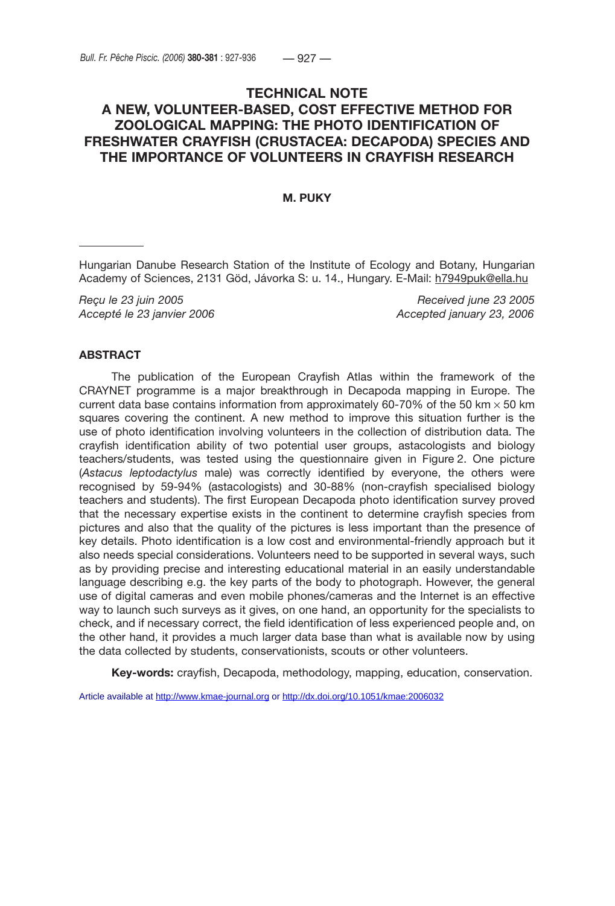## **TECHNICAL NOTE A NEW, VOLUNTEER-BASED, COST EFFECTIVE METHOD FOR ZOOLOGICAL MAPPING: THE PHOTO IDENTIFICATION OF FRESHWATER CRAYFISH (CRUSTACEA: DECAPODA) SPECIES AND THE IMPORTANCE OF VOLUNTEERS IN CRAYFISH RESEARCH**

### **M. PUKY**

Hungarian Danube Research Station of the Institute of Ecology and Botany, Hungarian Academy of Sciences, 2131 Göd, Jávorka S: u. 14., Hungary. E-Mail: h7949puk@ella.hu

*Reçu le 23 juin 2005 Received june 23 2005*

Accepté le 23 janvier 2006 **Accepted january 23, 2006** 

## **ABSTRACT**

The publication of the European Crayfish Atlas within the framework of the CRAYNET programme is a major breakthrough in Decapoda mapping in Europe. The current data base contains information from approximately 60-70% of the 50 km  $\times$  50 km squares covering the continent. A new method to improve this situation further is the use of photo identification involving volunteers in the collection of distribution data. The crayfish identification ability of two potential user groups, astacologists and biology teachers/students, was tested using the questionnaire given in Figure 2. One picture (*Astacus leptodactylus* male) was correctly identified by everyone, the others were recognised by 59-94% (astacologists) and 30-88% (non-crayfish specialised biology teachers and students). The first European Decapoda photo identification survey proved that the necessary expertise exists in the continent to determine crayfish species from pictures and also that the quality of the pictures is less important than the presence of key details. Photo identification is a low cost and environmental-friendly approach but it also needs special considerations. Volunteers need to be supported in several ways, such as by providing precise and interesting educational material in an easily understandable language describing e.g. the key parts of the body to photograph. However, the general use of digital cameras and even mobile phones/cameras and the Internet is an effective way to launch such surveys as it gives, on one hand, an opportunity for the specialists to check, and if necessary correct, the field identification of less experienced people and, on the other hand, it provides a much larger data base than what is available now by using the data collected by students, conservationists, scouts or other volunteers.

**Key-words:** crayfish, Decapoda, methodology, mapping, education, conservation.

Article available at <http://www.kmae-journal.org> or <http://dx.doi.org/10.1051/kmae:2006032>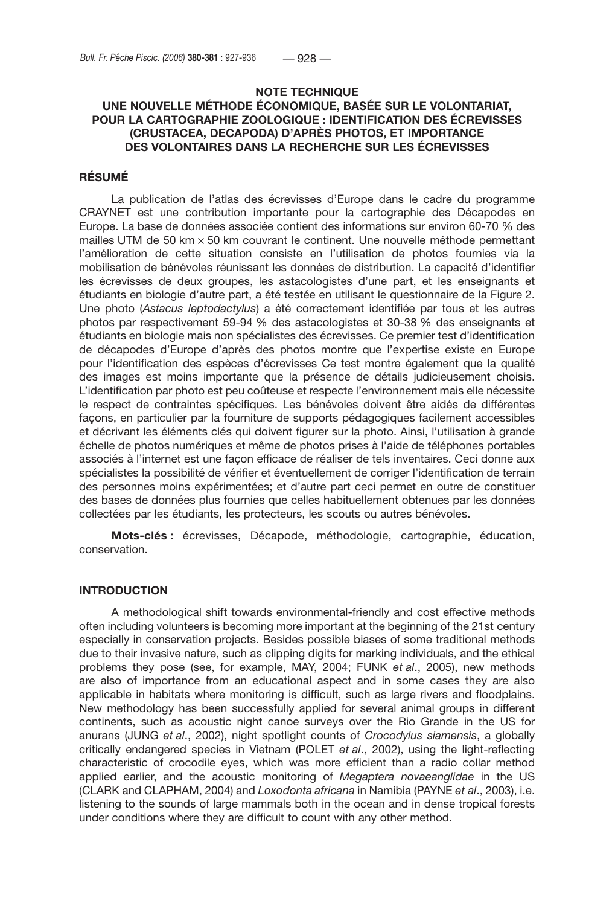## **NOTE TECHNIQUE UNE NOUVELLE MÉTHODE ÉCONOMIQUE, BASÉE SUR LE VOLONTARIAT, POUR LA CARTOGRAPHIE ZOOLOGIQUE : IDENTIFICATION DES ÉCREVISSES (CRUSTACEA, DECAPODA) D'APRÈS PHOTOS, ET IMPORTANCE DES VOLONTAIRES DANS LA RECHERCHE SUR LES ÉCREVISSES**

## **RÉSUMÉ**

La publication de l'atlas des écrevisses d'Europe dans le cadre du programme CRAYNET est une contribution importante pour la cartographie des Décapodes en Europe. La base de données associée contient des informations sur environ 60-70 % des mailles UTM de 50 km  $\times$  50 km couvrant le continent. Une nouvelle méthode permettant l'amélioration de cette situation consiste en l'utilisation de photos fournies via la mobilisation de bénévoles réunissant les données de distribution. La capacité d'identifier les écrevisses de deux groupes, les astacologistes d'une part, et les enseignants et étudiants en biologie d'autre part, a été testée en utilisant le questionnaire de la Figure 2. Une photo (*Astacus leptodactylus*) a été correctement identifiée par tous et les autres photos par respectivement 59-94 % des astacologistes et 30-38 % des enseignants et étudiants en biologie mais non spécialistes des écrevisses. Ce premier test d'identification de décapodes d'Europe d'après des photos montre que l'expertise existe en Europe pour l'identification des espèces d'écrevisses Ce test montre également que la qualité des images est moins importante que la présence de détails judicieusement choisis. L'identification par photo est peu coûteuse et respecte l'environnement mais elle nécessite le respect de contraintes spécifiques. Les bénévoles doivent être aidés de différentes façons, en particulier par la fourniture de supports pédagogiques facilement accessibles et décrivant les éléments clés qui doivent figurer sur la photo. Ainsi, l'utilisation à grande échelle de photos numériques et même de photos prises à l'aide de téléphones portables associés à l'internet est une façon efficace de réaliser de tels inventaires. Ceci donne aux spécialistes la possibilité de vérifier et éventuellement de corriger l'identification de terrain des personnes moins expérimentées; et d'autre part ceci permet en outre de constituer des bases de données plus fournies que celles habituellement obtenues par les données collectées par les étudiants, les protecteurs, les scouts ou autres bénévoles.

**Mots-clés :** écrevisses, Décapode, méthodologie, cartographie, éducation, conservation.

### **INTRODUCTION**

A methodological shift towards environmental-friendly and cost effective methods often including volunteers is becoming more important at the beginning of the 21st century especially in conservation projects. Besides possible biases of some traditional methods due to their invasive nature, such as clipping digits for marking individuals, and the ethical problems they pose (see, for example, MAY, 2004; FUNK *et al*., 2005), new methods are also of importance from an educational aspect and in some cases they are also applicable in habitats where monitoring is difficult, such as large rivers and floodplains. New methodology has been successfully applied for several animal groups in different continents, such as acoustic night canoe surveys over the Rio Grande in the US for anurans (JUNG *et al*., 2002), night spotlight counts of *Crocodylus siamensis*, a globally critically endangered species in Vietnam (POLET *et al*., 2002), using the light-reflecting characteristic of crocodile eyes, which was more efficient than a radio collar method applied earlier, and the acoustic monitoring of *Megaptera novaeanglidae* in the US (CLARK and CLAPHAM, 2004) and *Loxodonta africana* in Namibia (PAYNE *et al*., 2003), i.e. listening to the sounds of large mammals both in the ocean and in dense tropical forests under conditions where they are difficult to count with any other method.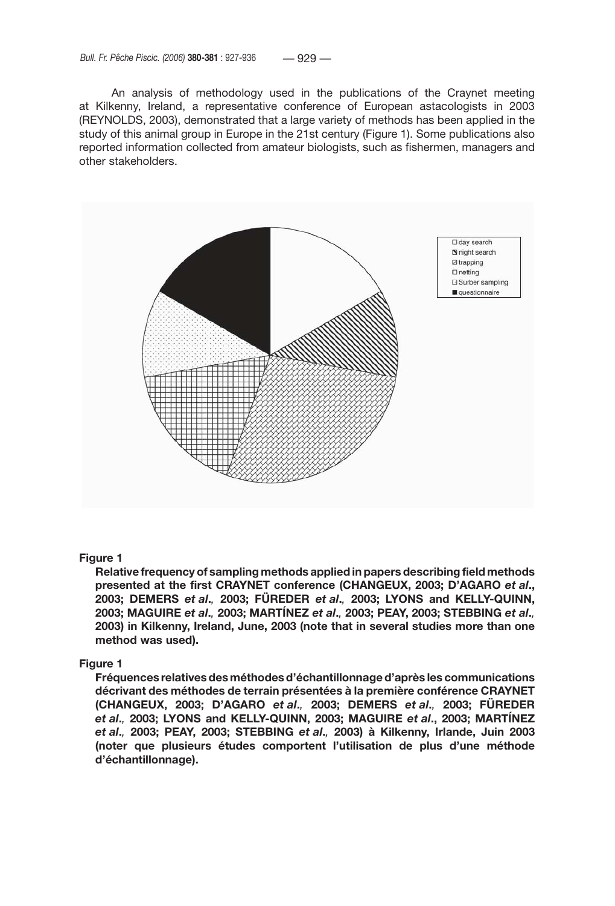An analysis of methodology used in the publications of the Craynet meeting at Kilkenny, Ireland, a representative conference of European astacologists in 2003 (REYNOLDS, 2003), demonstrated that a large variety of methods has been applied in the study of this animal group in Europe in the 21st century (Figure 1). Some publications also reported information collected from amateur biologists, such as fishermen, managers and other stakeholders.



### **Figure 1**

**Relative frequency of sampling methods applied in papers describing field methods presented at the first CRAYNET conference (CHANGEUX, 2003; D'AGARO** *et al***., 2003; DEMERS** *et al***.***,* **2003; FÜREDER** *et al***.***,* **2003; LYONS and KELLY-QUINN, 2003; MAGUIRE** *et al***.***,* **2003; MARTÍNEZ** *et al***.***,* **2003; PEAY, 2003; STEBBING** *et al***.***,* **2003) in Kilkenny, Ireland, June, 2003 (note that in several studies more than one method was used).**

### **Figure 1**

**Fréquences relatives des méthodes d'échantillonnage d'après les communications décrivant des méthodes de terrain présentées à la première conférence CRAYNET (CHANGEUX, 2003; D'AGARO** *et al***.***,* **2003; DEMERS** *et al***.***,* **2003; FÜREDER**  *et al***.***,* **2003; LYONS and KELLY-QUINN, 2003; MAGUIRE** *et al***., 2003; MARTÍNEZ**  *et al***.***,* **2003; PEAY, 2003; STEBBING** *et al***.***,* **2003) à Kilkenny, Irlande, Juin 2003 (noter que plusieurs études comportent l'utilisation de plus d'une méthode d'échantillonnage).**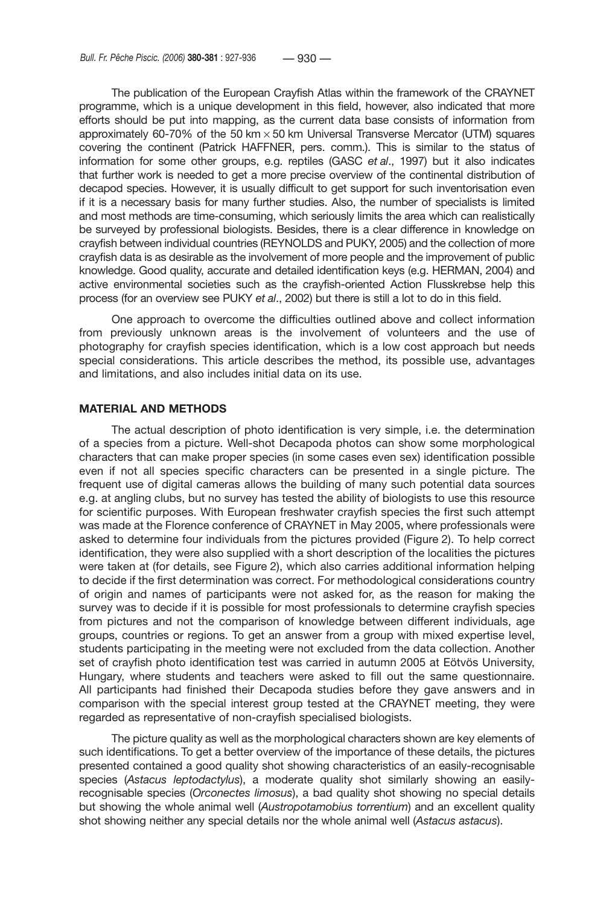The publication of the European Crayfish Atlas within the framework of the CRAYNET programme, which is a unique development in this field, however, also indicated that more efforts should be put into mapping, as the current data base consists of information from approximately 60-70% of the 50 km $\times$  50 km Universal Transverse Mercator (UTM) squares covering the continent (Patrick HAFFNER, pers. comm.). This is similar to the status of information for some other groups, e.g. reptiles (GASC *et al*., 1997) but it also indicates that further work is needed to get a more precise overview of the continental distribution of decapod species. However, it is usually difficult to get support for such inventorisation even if it is a necessary basis for many further studies. Also, the number of specialists is limited and most methods are time-consuming, which seriously limits the area which can realistically be surveyed by professional biologists. Besides, there is a clear difference in knowledge on crayfish between individual countries (REYNOLDS and PUKY, 2005) and the collection of more crayfish data is as desirable as the involvement of more people and the improvement of public knowledge. Good quality, accurate and detailed identification keys (e.g. HERMAN, 2004) and active environmental societies such as the crayfish-oriented Action Flusskrebse help this process (for an overview see PUKY *et al*., 2002) but there is still a lot to do in this field.

One approach to overcome the difficulties outlined above and collect information from previously unknown areas is the involvement of volunteers and the use of photography for crayfish species identification, which is a low cost approach but needs special considerations. This article describes the method, its possible use, advantages and limitations, and also includes initial data on its use.

### **MATERIAL AND METHODS**

The actual description of photo identification is very simple, i.e. the determination of a species from a picture. Well-shot Decapoda photos can show some morphological characters that can make proper species (in some cases even sex) identification possible even if not all species specific characters can be presented in a single picture. The frequent use of digital cameras allows the building of many such potential data sources e.g. at angling clubs, but no survey has tested the ability of biologists to use this resource for scientific purposes. With European freshwater crayfish species the first such attempt was made at the Florence conference of CRAYNET in May 2005, where professionals were asked to determine four individuals from the pictures provided (Figure 2). To help correct identification, they were also supplied with a short description of the localities the pictures were taken at (for details, see Figure 2), which also carries additional information helping to decide if the first determination was correct. For methodological considerations country of origin and names of participants were not asked for, as the reason for making the survey was to decide if it is possible for most professionals to determine crayfish species from pictures and not the comparison of knowledge between different individuals, age groups, countries or regions. To get an answer from a group with mixed expertise level, students participating in the meeting were not excluded from the data collection. Another set of crayfish photo identification test was carried in autumn 2005 at Eötvös University, Hungary, where students and teachers were asked to fill out the same questionnaire. All participants had finished their Decapoda studies before they gave answers and in comparison with the special interest group tested at the CRAYNET meeting, they were regarded as representative of non-crayfish specialised biologists.

The picture quality as well as the morphological characters shown are key elements of such identifications. To get a better overview of the importance of these details, the pictures presented contained a good quality shot showing characteristics of an easily-recognisable species (*Astacus leptodactylus*), a moderate quality shot similarly showing an easilyrecognisable species (*Orconectes limosus*), a bad quality shot showing no special details but showing the whole animal well (*Austropotamobius torrentium*) and an excellent quality shot showing neither any special details nor the whole animal well (*Astacus astacus*).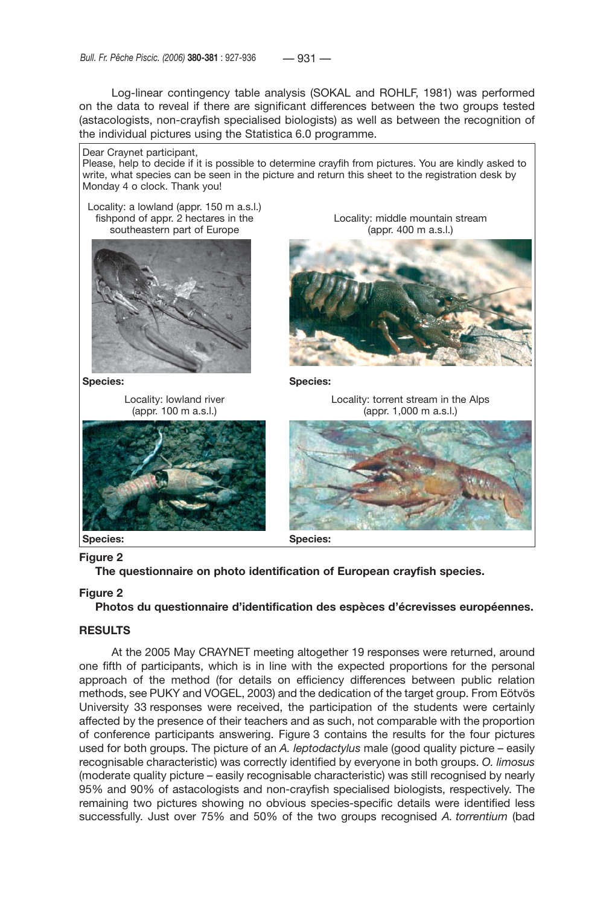Log-linear contingency table analysis (SOKAL and ROHLF, 1981) was performed on the data to reveal if there are significant differences between the two groups tested (astacologists, non-crayfish specialised biologists) as well as between the recognition of the individual pictures using the Statistica 6.0 programme.

## Locality: a lowland (appr. 150 m a.s.l.) fishpond of appr. 2 hectares in the southeastern part of Europe Locality: middle mountain stream (appr. 400 m a.s.l.) Locality: lowland river (appr. 100 m a.s.l.) Locality: torrent stream in the Alps (appr. 1,000 m a.s.l.) **Species: Species:** Dear Craynet participant, Please, help to decide if it is possible to determine crayfih from pictures. You are kindly asked to write, what species can be seen in the picture and return this sheet to the registration desk by Monday 4 o clock. Thank you!

# **Figure 2**

**Species: Species:**

**The questionnaire on photo identification of European crayfish species.**

### **Figure 2**

**Photos du questionnaire d'identification des espèces d'écrevisses européennes.**

## **RESULTS**

At the 2005 May CRAYNET meeting altogether 19 responses were returned, around one fifth of participants, which is in line with the expected proportions for the personal approach of the method (for details on efficiency differences between public relation methods, see PUKY and VOGEL, 2003) and the dedication of the target group. From Eötvös University 33 responses were received, the participation of the students were certainly affected by the presence of their teachers and as such, not comparable with the proportion of conference participants answering. Figure 3 contains the results for the four pictures used for both groups. The picture of an *A. leptodactylus* male (good quality picture – easily recognisable characteristic) was correctly identified by everyone in both groups. *O. limosus* (moderate quality picture – easily recognisable characteristic) was still recognised by nearly 95% and 90% of astacologists and non-crayfish specialised biologists, respectively. The remaining two pictures showing no obvious species-specific details were identified less successfully. Just over 75% and 50% of the two groups recognised *A. torrentium* (bad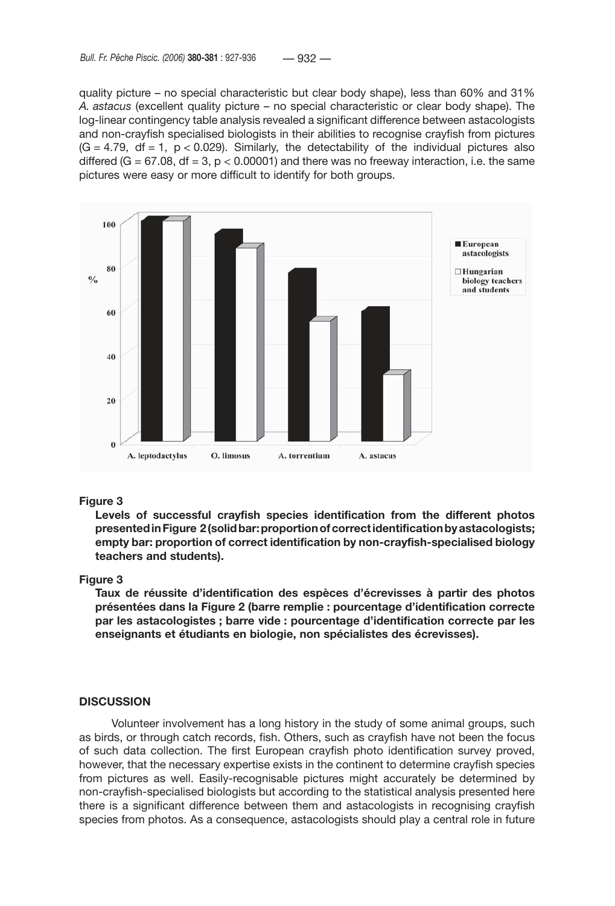quality picture – no special characteristic but clear body shape), less than 60% and 31% *A. astacus* (excellent quality picture – no special characteristic or clear body shape). The log-linear contingency table analysis revealed a significant difference between astacologists and non-crayfish specialised biologists in their abilities to recognise crayfish from pictures  $(G = 4.79, df = 1, p < 0.029)$ . Similarly, the detectability of the individual pictures also differed (G = 67.08, df = 3, p < 0.00001) and there was no freeway interaction, i.e. the same pictures were easy or more difficult to identify for both groups.



### **Figure 3**

**Levels of successful crayfish species identification from the different photos presented in Figure 2 (solid bar: proportion of correct identification by astacologists; empty bar: proportion of correct identification by non-crayfish-specialised biology teachers and students).**

#### **Figure 3**

**Taux de réussite d'identification des espèces d'écrevisses à partir des photos présentées dans la Figure 2 (barre remplie : pourcentage d'identification correcte par les astacologistes ; barre vide : pourcentage d'identification correcte par les enseignants et étudiants en biologie, non spécialistes des écrevisses).**

## **DISCUSSION**

Volunteer involvement has a long history in the study of some animal groups, such as birds, or through catch records, fish. Others, such as crayfish have not been the focus of such data collection. The first European crayfish photo identification survey proved, however, that the necessary expertise exists in the continent to determine crayfish species from pictures as well. Easily-recognisable pictures might accurately be determined by non-crayfish-specialised biologists but according to the statistical analysis presented here there is a significant difference between them and astacologists in recognising crayfish species from photos. As a consequence, astacologists should play a central role in future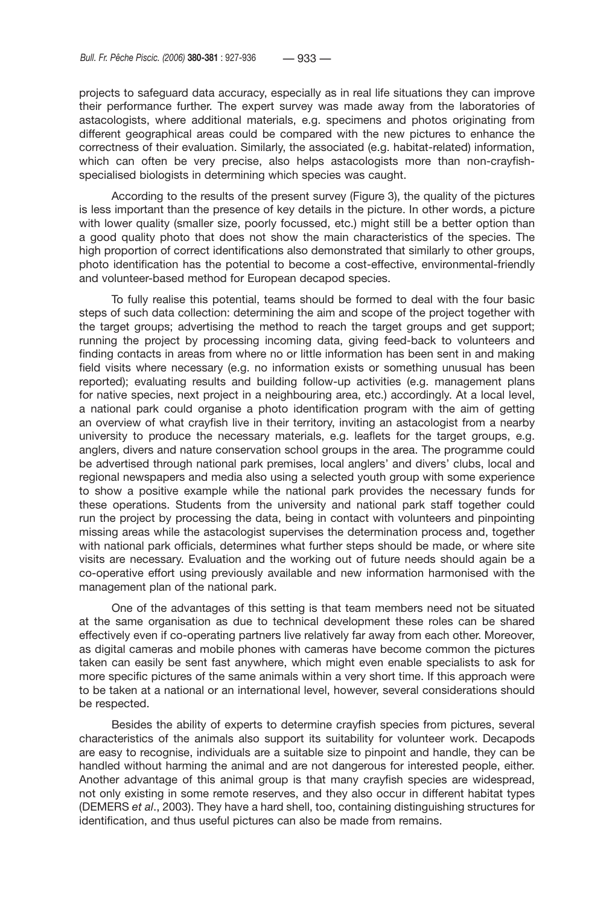projects to safeguard data accuracy, especially as in real life situations they can improve their performance further. The expert survey was made away from the laboratories of astacologists, where additional materials, e.g. specimens and photos originating from different geographical areas could be compared with the new pictures to enhance the correctness of their evaluation. Similarly, the associated (e.g. habitat-related) information, which can often be very precise, also helps astacologists more than non-crayfishspecialised biologists in determining which species was caught.

According to the results of the present survey (Figure 3), the quality of the pictures is less important than the presence of key details in the picture. In other words, a picture with lower quality (smaller size, poorly focussed, etc.) might still be a better option than a good quality photo that does not show the main characteristics of the species. The high proportion of correct identifications also demonstrated that similarly to other groups, photo identification has the potential to become a cost-effective, environmental-friendly and volunteer-based method for European decapod species.

To fully realise this potential, teams should be formed to deal with the four basic steps of such data collection: determining the aim and scope of the project together with the target groups; advertising the method to reach the target groups and get support; running the project by processing incoming data, giving feed-back to volunteers and finding contacts in areas from where no or little information has been sent in and making field visits where necessary (e.g. no information exists or something unusual has been reported); evaluating results and building follow-up activities (e.g. management plans for native species, next project in a neighbouring area, etc.) accordingly. At a local level, a national park could organise a photo identification program with the aim of getting an overview of what crayfish live in their territory, inviting an astacologist from a nearby university to produce the necessary materials, e.g. leaflets for the target groups, e.g. anglers, divers and nature conservation school groups in the area. The programme could be advertised through national park premises, local anglers' and divers' clubs, local and regional newspapers and media also using a selected youth group with some experience to show a positive example while the national park provides the necessary funds for these operations. Students from the university and national park staff together could run the project by processing the data, being in contact with volunteers and pinpointing missing areas while the astacologist supervises the determination process and, together with national park officials, determines what further steps should be made, or where site visits are necessary. Evaluation and the working out of future needs should again be a co-operative effort using previously available and new information harmonised with the management plan of the national park.

One of the advantages of this setting is that team members need not be situated at the same organisation as due to technical development these roles can be shared effectively even if co-operating partners live relatively far away from each other. Moreover, as digital cameras and mobile phones with cameras have become common the pictures taken can easily be sent fast anywhere, which might even enable specialists to ask for more specific pictures of the same animals within a very short time. If this approach were to be taken at a national or an international level, however, several considerations should be respected.

Besides the ability of experts to determine crayfish species from pictures, several characteristics of the animals also support its suitability for volunteer work. Decapods are easy to recognise, individuals are a suitable size to pinpoint and handle, they can be handled without harming the animal and are not dangerous for interested people, either. Another advantage of this animal group is that many crayfish species are widespread, not only existing in some remote reserves, and they also occur in different habitat types (DEMERS *et al*., 2003). They have a hard shell, too, containing distinguishing structures for identification, and thus useful pictures can also be made from remains.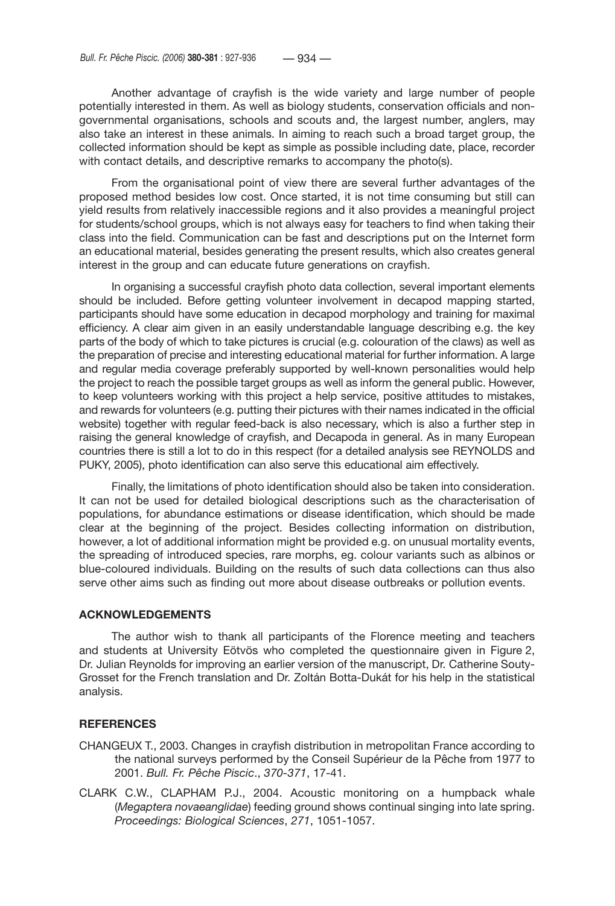Another advantage of crayfish is the wide variety and large number of people potentially interested in them. As well as biology students, conservation officials and nongovernmental organisations, schools and scouts and, the largest number, anglers, may also take an interest in these animals. In aiming to reach such a broad target group, the collected information should be kept as simple as possible including date, place, recorder with contact details, and descriptive remarks to accompany the photo(s).

From the organisational point of view there are several further advantages of the proposed method besides low cost. Once started, it is not time consuming but still can yield results from relatively inaccessible regions and it also provides a meaningful project for students/school groups, which is not always easy for teachers to find when taking their class into the field. Communication can be fast and descriptions put on the Internet form an educational material, besides generating the present results, which also creates general interest in the group and can educate future generations on crayfish.

In organising a successful crayfish photo data collection, several important elements should be included. Before getting volunteer involvement in decapod mapping started, participants should have some education in decapod morphology and training for maximal efficiency. A clear aim given in an easily understandable language describing e.g. the key parts of the body of which to take pictures is crucial (e.g. colouration of the claws) as well as the preparation of precise and interesting educational material for further information. A large and regular media coverage preferably supported by well-known personalities would help the project to reach the possible target groups as well as inform the general public. However, to keep volunteers working with this project a help service, positive attitudes to mistakes, and rewards for volunteers (e.g. putting their pictures with their names indicated in the official website) together with regular feed-back is also necessary, which is also a further step in raising the general knowledge of crayfish, and Decapoda in general. As in many European countries there is still a lot to do in this respect (for a detailed analysis see REYNOLDS and PUKY, 2005), photo identification can also serve this educational aim effectively.

Finally, the limitations of photo identification should also be taken into consideration. It can not be used for detailed biological descriptions such as the characterisation of populations, for abundance estimations or disease identification, which should be made clear at the beginning of the project. Besides collecting information on distribution, however, a lot of additional information might be provided e.g. on unusual mortality events, the spreading of introduced species, rare morphs, eg. colour variants such as albinos or blue-coloured individuals. Building on the results of such data collections can thus also serve other aims such as finding out more about disease outbreaks or pollution events.

### **ACKNOWLEDGEMENTS**

The author wish to thank all participants of the Florence meeting and teachers and students at University Eötvös who completed the questionnaire given in Figure 2, Dr. Julian Reynolds for improving an earlier version of the manuscript, Dr. Catherine Souty-Grosset for the French translation and Dr. Zoltán Botta-Dukát for his help in the statistical analysis.

### **REFERENCES**

- CHANGEUX T., 2003. Changes in crayfish distribution in metropolitan France according to the national surveys performed by the Conseil Supérieur de la Pêche from 1977 to 2001. *Bull. Fr. Pêche Piscic*., *370-371*, 17-41.
- CLARK C.W., CLAPHAM P.J., 2004. Acoustic monitoring on a humpback whale (*Megaptera novaeanglidae*) feeding ground shows continual singing into late spring. *Proceedings: Biological Sciences*, *271*, 1051-1057.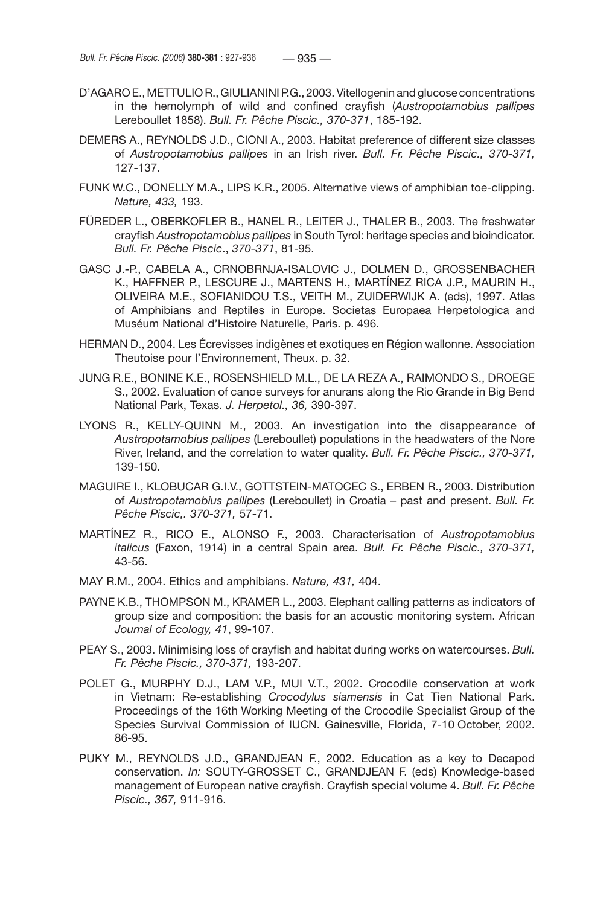- D'AGARO E., METTULIO R., GIULIANINI P.G., 2003. Vitellogenin and glucose concentrations in the hemolymph of wild and confined crayfish (*Austropotamobius pallipes* Lereboullet 1858). *Bull. Fr. Pêche Piscic., 370-371*, 185-192.
- DEMERS A., REYNOLDS J.D., CIONI A., 2003. Habitat preference of different size classes of *Austropotamobius pallipes* in an Irish river. *Bull. Fr. Pêche Piscic., 370-371,* 127-137.
- FUNK W.C., DONELLY M.A., LIPS K.R., 2005. Alternative views of amphibian toe-clipping. *Nature, 433,* 193.
- FÜREDER L., OBERKOFLER B., HANEL R., LEITER J., THALER B., 2003. The freshwater crayfish *Austropotamobius pallipes* in South Tyrol: heritage species and bioindicator. *Bull. Fr. Pêche Piscic*., *370-371*, 81-95.
- GASC J.-P., CABELA A., CRNOBRNJA-ISALOVIC J., DOLMEN D., GROSSENBACHER K., HAFFNER P., LESCURE J., MARTENS H., MARTÍNEZ RICA J.P., MAURIN H., OLIVEIRA M.E., SOFIANIDOU T.S., VEITH M., ZUIDERWIJK A. (eds), 1997. Atlas of Amphibians and Reptiles in Europe. Societas Europaea Herpetologica and Muséum National d'Histoire Naturelle, Paris. p. 496.
- HERMAN D., 2004. Les Écrevisses indigènes et exotiques en Région wallonne. Association Theutoise pour l'Environnement, Theux. p. 32.
- JUNG R.E., BONINE K.E., ROSENSHIELD M.L., DE LA REZA A., RAIMONDO S., DROEGE S., 2002. Evaluation of canoe surveys for anurans along the Rio Grande in Big Bend National Park, Texas. *J. Herpetol., 36,* 390-397.
- LYONS R., KELLY-QUINN M., 2003. An investigation into the disappearance of *Austropotamobius pallipes* (Lereboullet) populations in the headwaters of the Nore River, Ireland, and the correlation to water quality. *Bull. Fr. Pêche Piscic., 370-371,* 139-150.
- MAGUIRE I., KLOBUCAR G.I.V., GOTTSTEIN-MATOCEC S., ERBEN R., 2003. Distribution of *Austropotamobius pallipes* (Lereboullet) in Croatia – past and present. *Bull. Fr. Pêche Piscic,. 370-371,* 57-71.
- MARTÍNEZ R., RICO E., ALONSO F., 2003. Characterisation of *Austropotamobius italicus* (Faxon, 1914) in a central Spain area. *Bull. Fr. Pêche Piscic., 370-371,* 43-56.
- MAY R.M., 2004. Ethics and amphibians. *Nature, 431,* 404.
- PAYNE K.B., THOMPSON M., KRAMER L., 2003. Elephant calling patterns as indicators of group size and composition: the basis for an acoustic monitoring system. African *Journal of Ecology, 41*, 99-107.
- PEAY S., 2003. Minimising loss of crayfish and habitat during works on watercourses. *Bull. Fr. Pêche Piscic., 370-371,* 193-207.
- POLET G., MURPHY D.J., LAM V.P., MUI V.T., 2002. Crocodile conservation at work in Vietnam: Re-establishing *Crocodylus siamensis* in Cat Tien National Park. Proceedings of the 16th Working Meeting of the Crocodile Specialist Group of the Species Survival Commission of IUCN. Gainesville, Florida, 7-10 October, 2002. 86-95.
- PUKY M., REYNOLDS J.D., GRANDJEAN F., 2002. Education as a key to Decapod conservation. *In:* SOUTY-GROSSET C., GRANDJEAN F. (eds) Knowledge-based management of European native crayfish. Crayfish special volume 4. *Bull. Fr. Pêche Piscic., 367,* 911-916.